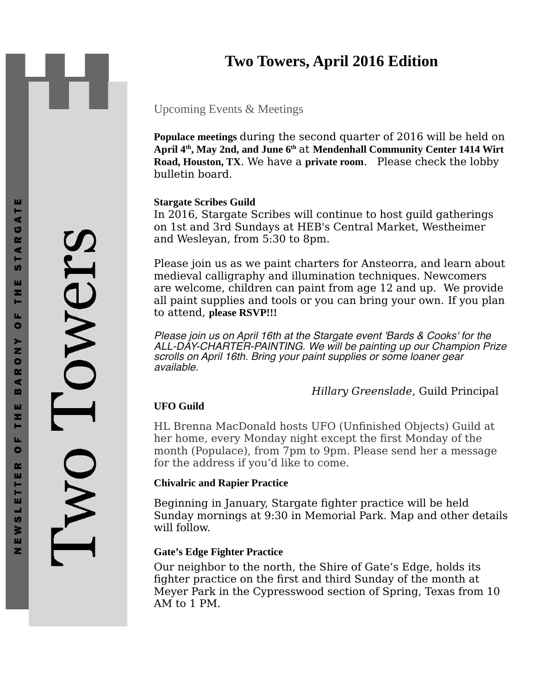# **Two Towers, April 2016 Edition**

# Upcoming Events & Meetings

**Populace meetings** during the second quarter of 2016 will be held on **April 4th, May 2nd, and June 6th** at **Mendenhall Community Center 1414 Wirt Road, Houston, TX**. We have a **private room**. Please check the lobby bulletin board.

## **Stargate Scribes Guild**

In 2016, Stargate Scribes will continue to host guild gatherings on 1st and 3rd Sundays at HEB's Central Market, Westheimer and Wesleyan, from 5:30 to 8pm.

Please join us as we paint charters for Ansteorra, and learn about medieval calligraphy and illumination techniques. Newcomers are welcome, children can paint from age 12 and up. We provide all paint supplies and tools or you can bring your own. If you plan to attend, **please RSVP!!!**

Please join us on April 16th at the Stargate event 'Bards & Cooks' for the ALL-DAY-CHARTER-PAINTING. We will be painting up our Champion Prize scrolls on April 16th. Bring your paint supplies or some loaner gear available.

*Hillary Greenslade*, Guild Principal

# **UFO Guild**

HL Brenna MacDonald hosts UFO (Unfinished Objects) Guild at her home, every Monday night except the first Monday of the month (Populace), from 7pm to 9pm. Please send her a message for the address if you'd like to come.

## **Chivalric and Rapier Practice**

Beginning in January, Stargate fighter practice will be held Sunday mornings at 9:30 in Memorial Park. Map and other details will follow.

## **Gate's Edge Fighter Practice**

Our neighbor to the north, the Shire of Gate's Edge, holds its fighter practice on the first and third Sunday of the month at Meyer Park in the Cypresswood section of Spring, Texas from 10 AM to 1 PM.

ш

Owers WO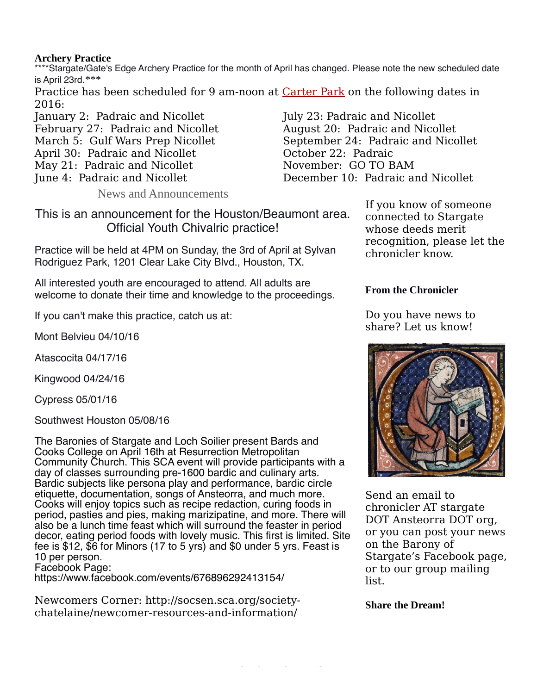## **Archery Practice**

\*\*\*\*Stargate/Gate's Edge Archery Practice for the month of April has changed. Please note the new scheduled date is April 23rd.\*\*\*

Practice has been scheduled for 9 am-noon at [Carter Park](http://www.hcp4.net/Community/Parks/Carter) on the following dates in 2016:

January 2: Padraic and Nicollet February 27: Padraic and Nicollet March 5: Gulf Wars Prep Nicollet April 30: Padraic and Nicollet May 21: Padraic and Nicollet

June 4: Padraic and Nicollet

News and Announcements

This is an announcement for the Houston/Beaumont area. Official Youth Chivalric practice!

Practice will be held at 4PM on Sunday, the 3rd of April at Sylvan Rodriguez Park, 1201 Clear Lake City Blvd., Houston, TX.

All interested youth are encouraged to attend. All adults are welcome to donate their time and knowledge to the proceedings.

If you can't make this practice, catch us at:

Mont Belvieu 04/10/16

Atascocita 04/17/16

Kingwood 04/24/16

Cypress 05/01/16

Southwest Houston 05/08/16

The Baronies of Stargate and Loch Soilier present Bards and Cooks College on April 16th at Resurrection Metropolitan Community Church. This SCA event will provide participants with a day of classes surrounding pre-1600 bardic and culinary arts. Bardic subjects like persona play and performance, bardic circle etiquette, documentation, songs of Ansteorra, and much more. Cooks will enjoy topics such as recipe redaction, curing foods in period, pasties and pies, making marizipatine, and more. There will also be a lunch time feast which will surround the feaster in period decor, eating period foods with lovely music. This first is limited. Site fee is \$12, \$6 for Minors (17 to 5 yrs) and \$0 under 5 yrs. Feast is 10 per person.

Facebook Page:

https://www.facebook.com/events/676896292413154/

Newcomers Corner: http://socsen.sca.org/societychatelaine/newcomer-resources-and-information/

July 23: Padraic and Nicollet August 20: Padraic and Nicollet September 24: Padraic and Nicollet October 22: Padraic November: GO TO BAM December 10: Padraic and Nicollet

> If you know of someone connected to Stargate whose deeds merit recognition, please let the chronicler know.

## **From the Chronicler**

Do you have news to share? Let us know!



Send an email to chronicler AT stargate DOT Ansteorra DOT org, or you can post your news on the Barony of Stargate's Facebook page, or to our group mailing list.

**Share the Dream!**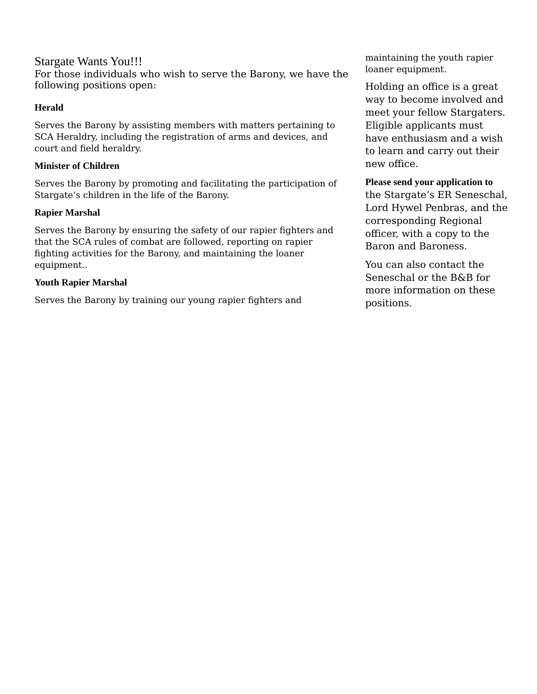Stargate Wants You!!! For those individuals who wish to serve the Barony, we have the following positions open:

#### **Herald**

Serves the Barony by assisting members with matters pertaining to SCA Heraldry, including the registration of arms and devices, and court and field heraldry.

#### **Minister of Children**

Serves the Barony by promoting and facilitating the participation of Stargate's children in the life of the Barony.

#### **Rapier Marshal**

Serves the Barony by ensuring the safety of our rapier fighters and that the SCA rules of combat are followed, reporting on rapier fighting activities for the Barony, and maintaining the loaner equipment..

#### **Youth Rapier Marshal**

Serves the Barony by training our young rapier fighters and

maintaining the youth rapier loaner equipment.

Holding an office is a great way to become involved and meet your fellow Stargaters. Eligible applicants must have enthusiasm and a wish to learn and carry out their new office.

#### **Please send your application to**

the Stargate's ER Seneschal, Lord Hywel Penbras, and the corresponding Regional officer, with a copy to the Baron and Baroness.

You can also contact the Seneschal or the B&B for more information on these positions.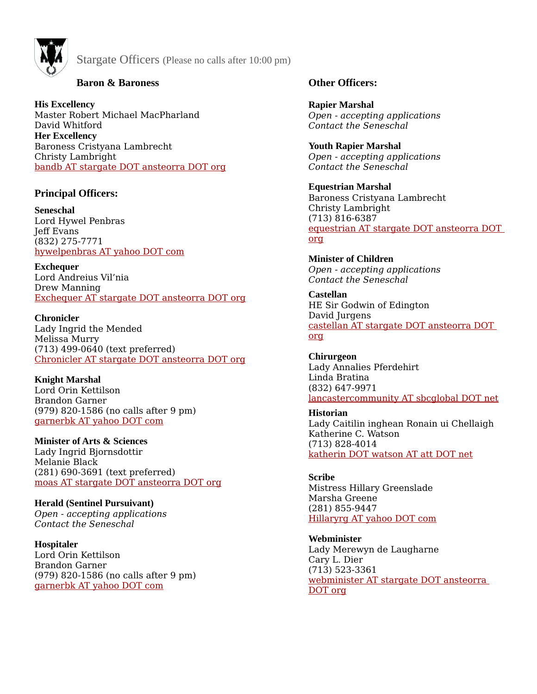

Stargate Officers (Please no calls after 10:00 pm)

## **Baron & Baroness**

**His Excellency** Master Robert Michael MacPharland David Whitford **Her Excellency** Baroness Cristyana Lambrecht Christy Lambright [bandb AT stargate DOT ansteorra DOT org](mailto:bandb@stargate.ansteorra.org#_blank)

## **Principal Officers:**

**Seneschal** Lord Hywel Penbras Jeff Evans (832) 275-7771 [hywelpenbras AT yahoo DOT com](mailto:hywelpenbras@yahoo.com?subject=For%20the%20Stargate%20Seneschal#_blank)

**Exchequer** Lord Andreius Vil'nia Drew Manning [Exchequer AT stargate DOT ansteorra DOT org](mailto:exchequer@stargate.ansteorra.org?subject=Question%20for%20Stargate%20Exchequer#_blank)

**Chronicler** Lady Ingrid the Mended Melissa Murry (713) 499-0640 (text preferred) [Chronicler AT stargate DOT ansteorra DOT org](mailto:chronicler@stargate.ansteorra.org?subject=Question%20for%20Stargate%20Chronicler)

**Knight Marshal** Lord Orin Kettilson Brandon Garner (979) 820-1586 (no calls after 9 pm) [garnerbk AT yahoo DOT com](mailto:garnerbk@yahoo.com?subject=For%20Knight%20Marshal#_blank)

**Minister of Arts & Sciences** Lady Ingrid Bjornsdottir Melanie Black (281) 690-3691 (text preferred) moas AT stargate DOT ansteorra DOT org

**Herald (Sentinel Pursuivant)** *Open - accepting applications Contact the Seneschal*

**Hospitaler** Lord Orin Kettilson Brandon Garner (979) 820-1586 (no calls after 9 pm) [garnerbk AT yahoo DOT com](mailto:garnerbk@yahoo.com?subject=For%20Knight%20Marshal#_blank)

## **Other Officers:**

**Rapier Marshal** *Open - accepting applications Contact the Seneschal*

**Youth Rapier Marshal** *Open - accepting applications Contact the Seneschal* 

**Equestrian Marshal** Baroness Cristyana Lambrecht Christy Lambright (713) 816-6387 [equestrian AT stargate DOT ansteorra DOT](mailto:equestrian@stargate.ansteorra.org?subject=Rapier%20Marshal#_blank)  [org](mailto:equestrian@stargate.ansteorra.org?subject=Rapier%20Marshal#_blank)

**Minister of Children** *Open - accepting applications Contact the Seneschal* 

**Castellan** HE Sir Godwin of Edington David Jurgens [castellan AT stargate DOT ansteorra DOT](mailto:castellan@stargate.ansteorra.org?subject=Castellan#_blank)  [org](mailto:castellan@stargate.ansteorra.org?subject=Castellan#_blank)

**Chirurgeon** Lady Annalies Pferdehirt Linda Bratina (832) 647-9971 [lancastercommunity AT sbcglobal DOT net](mailto:lancastercommunity@sbcglobal.net#_blank)

**Historian** Lady Caitilin inghean Ronain ui Chellaigh Katherine C. Watson (713) 828-4014 [katherin DOT watson AT att DOT net](mailto:katherin.watson@att.net?subject=For%20the%20Stargate%20Historian#_blank)

**Scribe** Mistress Hillary Greenslade Marsha Greene (281) 855-9447 [Hillaryrg AT yahoo DOT com](mailto:Hillaryrg@yahoo.com#_blank)

**Webminister** Lady Merewyn de Laugharne Cary L. Dier (713) 523-3361 [webminister AT stargate DOT ansteorra](mailto:webminister@stargate.ansteorra.org?subject=Stargate%20web%20page#_blank)  [DOT org](mailto:webminister@stargate.ansteorra.org?subject=Stargate%20web%20page#_blank)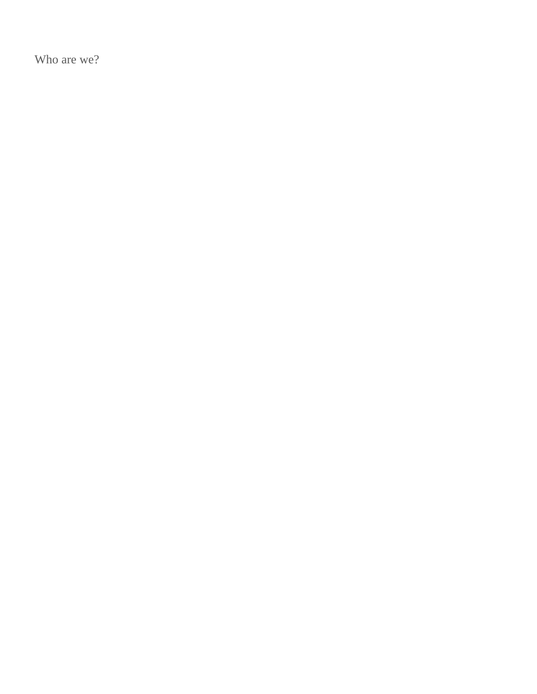Who are we?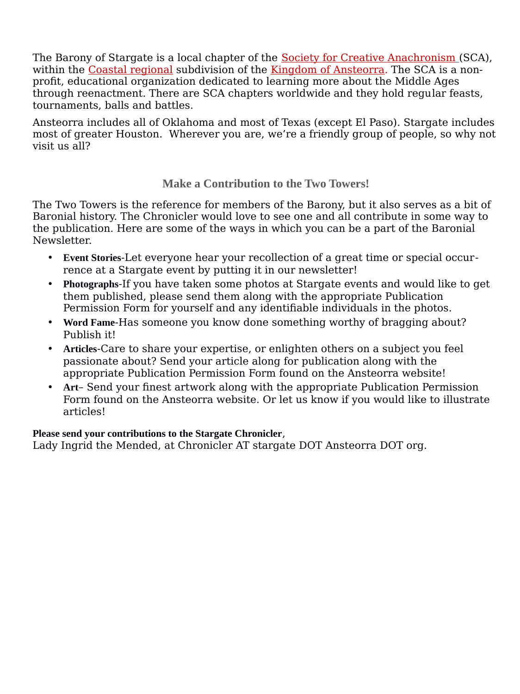The Barony of Stargate is a local chapter of the [Society for Creative Anachronism](http://www.sca.org/) (SCA), within the [Coastal regional](http://coastal.ansteorra.org/) subdivision of the [Kingdom of Ansteorra.](http://www.ansteorra.org/) The SCA is a nonprofit, educational organization dedicated to learning more about the Middle Ages through reenactment. There are SCA chapters worldwide and they hold regular feasts, tournaments, balls and battles.

Ansteorra includes all of Oklahoma and most of Texas (except El Paso). Stargate includes most of greater Houston. Wherever you are, we're a friendly group of people, so why not visit us all?

# **Make a Contribution to the Two Towers!**

The Two Towers is the reference for members of the Barony, but it also serves as a bit of Baronial history. The Chronicler would love to see one and all contribute in some way to the publication. Here are some of the ways in which you can be a part of the Baronial Newsletter.

- **Event Stories**-Let everyone hear your recollection of a great time or special occurrence at a Stargate event by putting it in our newsletter!
- **Photographs**-If you have taken some photos at Stargate events and would like to get them published, please send them along with the appropriate Publication Permission Form for yourself and any identifiable individuals in the photos.
- **Word Fame**-Has someone you know done something worthy of bragging about? Publish it!
- **Articles**-Care to share your expertise, or enlighten others on a subject you feel passionate about? Send your article along for publication along with the appropriate Publication Permission Form found on the Ansteorra website!
- **Art** Send your finest artwork along with the appropriate Publication Permission Form found on the Ansteorra website. Or let us know if you would like to illustrate articles!

## **Please send your contributions to the Stargate Chronicler**,

Lady Ingrid the Mended, at Chronicler AT stargate DOT Ansteorra DOT org.